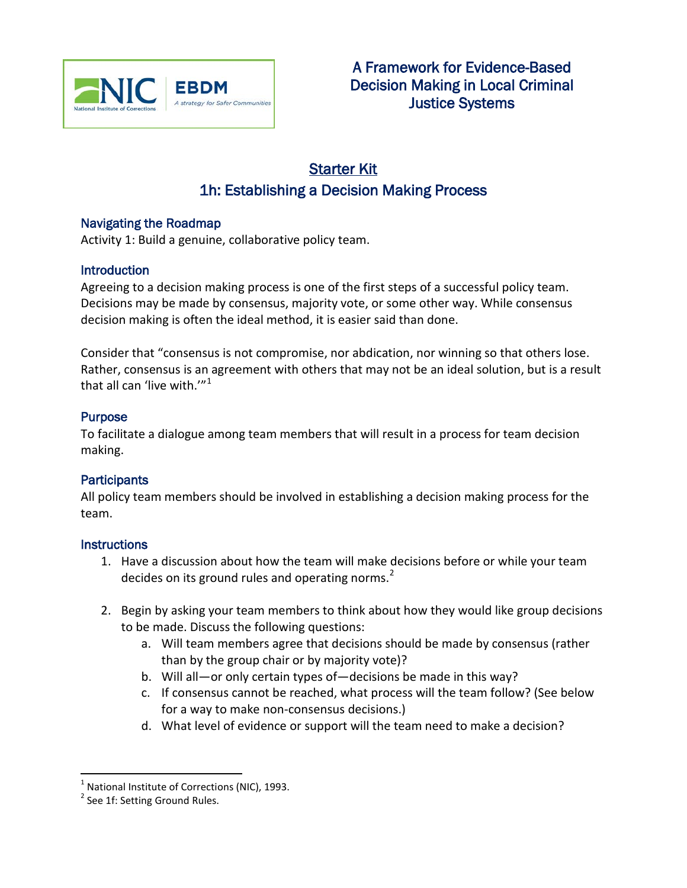

# Starter Kit 1h: Establishing a Decision Making Process

### Navigating the Roadmap

Activity 1: Build a genuine, collaborative policy team.

### **Introduction**

Agreeing to a decision making process is one of the first steps of a successful policy team. Decisions may be made by consensus, majority vote, or some other way. While consensus decision making is often the ideal method, it is easier said than done.

Consider that "consensus is not compromise, nor abdication, nor winning so that others lose. Rather, consensus is an agreement with others that may not be an ideal solution, but is a result that all can 'live with." $1$ <sup>1</sup>

### Purpose

To facilitate a dialogue among team members that will result in a process for team decision making.

### **Participants**

All policy team members should be involved in establishing a decision making process for the team.

### **Instructions**

- 1. Have a discussion about how the team will make decisions before or while your team decides on its ground rules and operating norms. $<sup>2</sup>$  $<sup>2</sup>$  $<sup>2</sup>$ </sup>
- 2. Begin by asking your team members to think about how they would like group decisions to be made. Discuss the following questions:
	- a. Will team members agree that decisions should be made by consensus (rather than by the group chair or by majority vote)?
	- b. Will all—or only certain types of—decisions be made in this way?
	- c. If consensus cannot be reached, what process will the team follow? (See below for a way to make non-consensus decisions.)
	- d. What level of evidence or support will the team need to make a decision?

<span id="page-0-0"></span> $1$  National Institute of Corrections (NIC), 1993.

<span id="page-0-1"></span><sup>&</sup>lt;sup>2</sup> See 1f: Setting Ground Rules.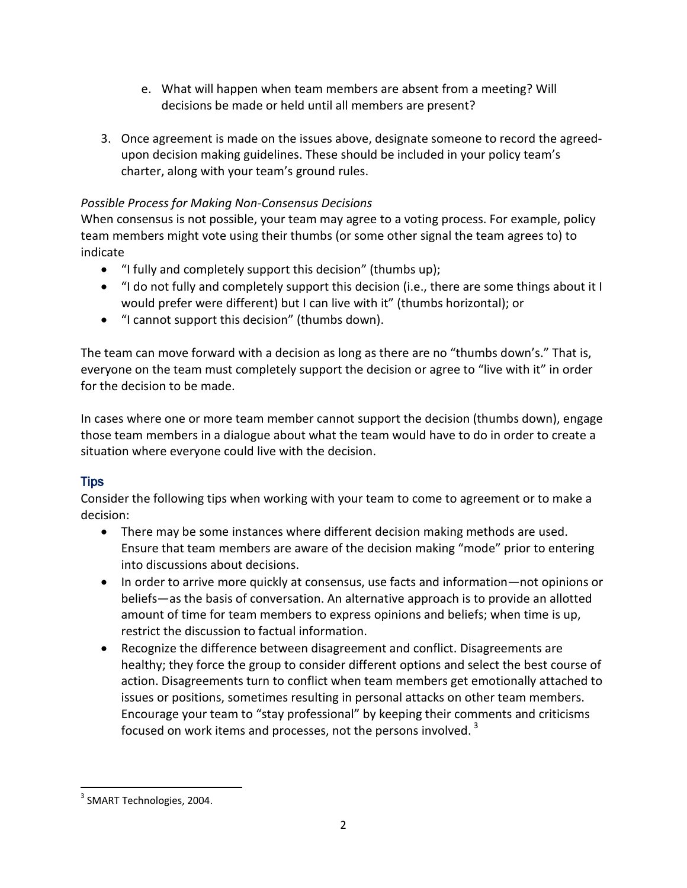- e. What will happen when team members are absent from a meeting? Will decisions be made or held until all members are present?
- 3. Once agreement is made on the issues above, designate someone to record the agreedupon decision making guidelines. These should be included in your policy team's charter, along with your team's ground rules.

### *Possible Process for Making Non-Consensus Decisions*

When consensus is not possible, your team may agree to a voting process. For example, policy team members might vote using their thumbs (or some other signal the team agrees to) to indicate

- "I fully and completely support this decision" (thumbs up);
- "I do not fully and completely support this decision (i.e., there are some things about it I would prefer were different) but I can live with it" (thumbs horizontal); or
- "I cannot support this decision" (thumbs down).

The team can move forward with a decision as long as there are no "thumbs down's." That is, everyone on the team must completely support the decision or agree to "live with it" in order for the decision to be made.

In cases where one or more team member cannot support the decision (thumbs down), engage those team members in a dialogue about what the team would have to do in order to create a situation where everyone could live with the decision.

## **Tips**

Consider the following tips when working with your team to come to agreement or to make a decision:

- There may be some instances where different decision making methods are used. Ensure that team members are aware of the decision making "mode" prior to entering into discussions about decisions.
- In order to arrive more quickly at consensus, use facts and information—not opinions or beliefs—as the basis of conversation. An alternative approach is to provide an allotted amount of time for team members to express opinions and beliefs; when time is up, restrict the discussion to factual information.
- Recognize the difference between disagreement and conflict. Disagreements are healthy; they force the group to consider different options and select the best course of action. Disagreements turn to conflict when team members get emotionally attached to issues or positions, sometimes resulting in personal attacks on other team members. Encourage your team to "stay professional" by keeping their comments and criticisms focused on work items and processes, not the persons involved.  $3$

<sup>&</sup>lt;sup>3</sup> SMART Technologies, 2004.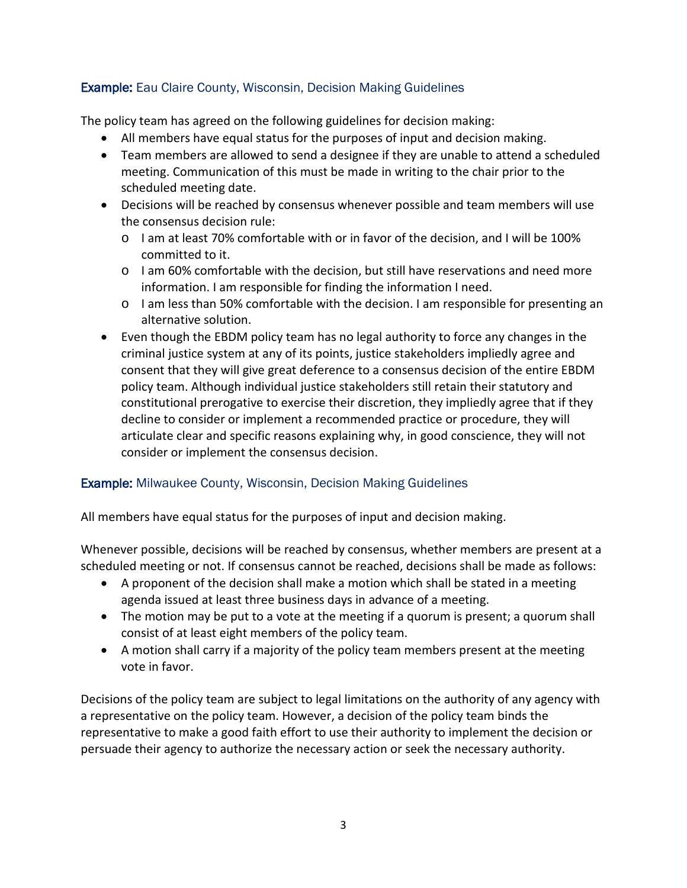### Example: Eau Claire County, Wisconsin, Decision Making Guidelines

The policy team has agreed on the following guidelines for decision making:

- All members have equal status for the purposes of input and decision making.
- Team members are allowed to send a designee if they are unable to attend a scheduled meeting. Communication of this must be made in writing to the chair prior to the scheduled meeting date.
- Decisions will be reached by consensus whenever possible and team members will use the consensus decision rule:
	- o I am at least 70% comfortable with or in favor of the decision, and I will be 100% committed to it.
	- o I am 60% comfortable with the decision, but still have reservations and need more information. I am responsible for finding the information I need.
	- o I am less than 50% comfortable with the decision. I am responsible for presenting an alternative solution.
- Even though the EBDM policy team has no legal authority to force any changes in the criminal justice system at any of its points, justice stakeholders impliedly agree and consent that they will give great deference to a consensus decision of the entire EBDM policy team. Although individual justice stakeholders still retain their statutory and constitutional prerogative to exercise their discretion, they impliedly agree that if they decline to consider or implement a recommended practice or procedure, they will articulate clear and specific reasons explaining why, in good conscience, they will not consider or implement the consensus decision.

### Example: Milwaukee County, Wisconsin, Decision Making Guidelines

All members have equal status for the purposes of input and decision making.

Whenever possible, decisions will be reached by consensus, whether members are present at a scheduled meeting or not. If consensus cannot be reached, decisions shall be made as follows:

- A proponent of the decision shall make a motion which shall be stated in a meeting agenda issued at least three business days in advance of a meeting.
- The motion may be put to a vote at the meeting if a quorum is present; a quorum shall consist of at least eight members of the policy team.
- A motion shall carry if a majority of the policy team members present at the meeting vote in favor.

Decisions of the policy team are subject to legal limitations on the authority of any agency with a representative on the policy team. However, a decision of the policy team binds the representative to make a good faith effort to use their authority to implement the decision or persuade their agency to authorize the necessary action or seek the necessary authority.